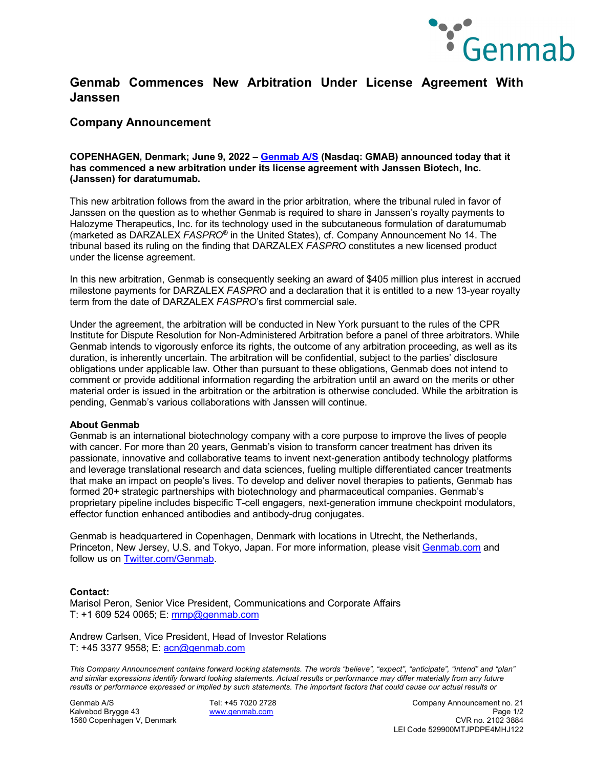

## **Genmab Commences New Arbitration Under License Agreement With Janssen**

### **Company Announcement**

#### **COPENHAGEN, Denmark; June 9, 2022 – [Genmab A/S](https://www.genmab.com/) (Nasdaq: GMAB) announced today that it has commenced a new arbitration under its license agreement with Janssen Biotech, Inc. (Janssen) for daratumumab.**

This new arbitration follows from the award in the prior arbitration, where the tribunal ruled in favor of Janssen on the question as to whether Genmab is required to share in Janssen's royalty payments to Halozyme Therapeutics, Inc. for its technology used in the subcutaneous formulation of daratumumab (marketed as DARZALEX *FASPRO®* in the United States), cf. Company Announcement No 14. The tribunal based its ruling on the finding that DARZALEX *FASPRO* constitutes a new licensed product under the license agreement.

In this new arbitration, Genmab is consequently seeking an award of \$405 million plus interest in accrued milestone payments for DARZALEX *FASPRO* and a declaration that it is entitled to a new 13-year royalty term from the date of DARZALEX *FASPRO*'s first commercial sale.

Under the agreement, the arbitration will be conducted in New York pursuant to the rules of the CPR Institute for Dispute Resolution for Non-Administered Arbitration before a panel of three arbitrators. While Genmab intends to vigorously enforce its rights, the outcome of any arbitration proceeding, as well as its duration, is inherently uncertain. The arbitration will be confidential, subject to the parties' disclosure obligations under applicable law. Other than pursuant to these obligations, Genmab does not intend to comment or provide additional information regarding the arbitration until an award on the merits or other material order is issued in the arbitration or the arbitration is otherwise concluded. While the arbitration is pending, Genmab's various collaborations with Janssen will continue.

#### **About Genmab**

Genmab is an international biotechnology company with a core purpose to improve the lives of people with cancer. For more than 20 years, Genmab's vision to transform cancer treatment has driven its passionate, innovative and collaborative teams to invent next-generation antibody technology platforms and leverage translational research and data sciences, fueling multiple differentiated cancer treatments that make an impact on people's lives. To develop and deliver novel therapies to patients, Genmab has formed 20+ strategic partnerships with biotechnology and pharmaceutical companies. Genmab's proprietary pipeline includes bispecific T-cell engagers, next-generation immune checkpoint modulators, effector function enhanced antibodies and antibody-drug conjugates.

Genmab is headquartered in Copenhagen, Denmark with locations in Utrecht, the Netherlands, Princeton, New Jersey, U.S. and Tokyo, Japan. For more information, please visit [Genmab.com](https://www.genmab.com/) and follow us on [Twitter.com/Genmab.](https://twitter.com/Genmab)

#### **Contact:**

Marisol Peron, Senior Vice President, Communications and Corporate Affairs T: +1 609 524 0065; E: [mmp@genmab.com](mailto:mmp@genmab.com)

Andrew Carlsen, Vice President, Head of Investor Relations T: +45 3377 9558; E: [acn@genmab.com](mailto:acn@genmab.com)

*This Company Announcement contains forward looking statements. The words "believe", "expect", "anticipate", "intend" and "plan" and similar expressions identify forward looking statements. Actual results or performance may differ materially from any future results or performance expressed or implied by such statements. The important factors that could cause our actual results or* 

1560 Copenhagen V, Denmark

Genmab A/S Tel: +45 7020 2728 Company Announcement no. 21 Kalvebod Brygge 43 [www.genmab.com](http://www.genmab.com/) Page 1/2 LEI Code 529900MTJPDPE4MHJ122